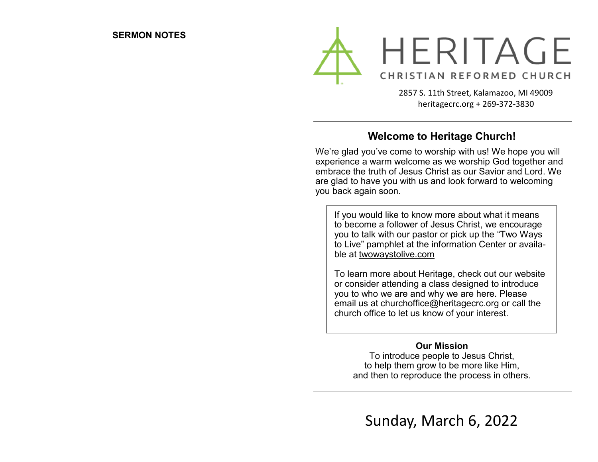

2857 S. 11th Street, Kalamazoo, MI 49009 heritagecrc.org + 269-372-3830

#### **Welcome to Heritage Church!**

We're glad you've come to worship with us! We hope you will experience a warm welcome as we worship God together and embrace the truth of Jesus Christ as our Savior and Lord. We are glad to have you with us and look forward to welcoming you back again soon.

If you would like to know more about what it means to become a follower of Jesus Christ, we encourage you to talk with our pastor or pick up the "Two Ways to Live" pamphlet at the information Center or available at twowaystolive.com

To learn more about Heritage, check out our website or consider attending a class designed to introduce you to who we are and why we are here. Please email us at churchoffice@heritagecrc.org or call the church office to let us know of your interest.

#### **Our Mission**

To introduce people to Jesus Christ, to help them grow to be more like Him, and then to reproduce the process in others.

Sunday, March 6, 2022